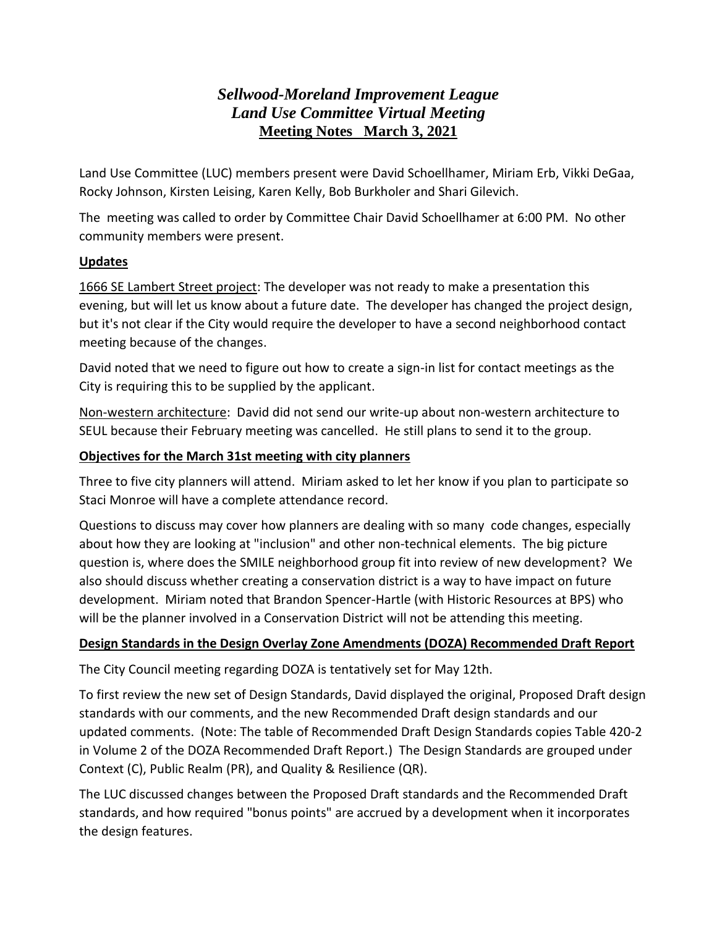# *Sellwood-Moreland Improvement League Land Use Committee Virtual Meeting* **Meeting Notes March 3, 2021**

Land Use Committee (LUC) members present were David Schoellhamer, Miriam Erb, Vikki DeGaa, Rocky Johnson, Kirsten Leising, Karen Kelly, Bob Burkholer and Shari Gilevich.

The meeting was called to order by Committee Chair David Schoellhamer at 6:00 PM. No other community members were present.

#### **Updates**

1666 SE Lambert Street project: The developer was not ready to make a presentation this evening, but will let us know about a future date. The developer has changed the project design, but it's not clear if the City would require the developer to have a second neighborhood contact meeting because of the changes.

David noted that we need to figure out how to create a sign-in list for contact meetings as the City is requiring this to be supplied by the applicant.

Non-western architecture: David did not send our write-up about non-western architecture to SEUL because their February meeting was cancelled. He still plans to send it to the group.

### **Objectives for the March 31st meeting with city planners**

Three to five city planners will attend. Miriam asked to let her know if you plan to participate so Staci Monroe will have a complete attendance record.

Questions to discuss may cover how planners are dealing with so many code changes, especially about how they are looking at "inclusion" and other non-technical elements. The big picture question is, where does the SMILE neighborhood group fit into review of new development? We also should discuss whether creating a conservation district is a way to have impact on future development. Miriam noted that Brandon Spencer-Hartle (with Historic Resources at BPS) who will be the planner involved in a Conservation District will not be attending this meeting.

## **Design Standards in the Design Overlay Zone Amendments (DOZA) Recommended Draft Report**

The City Council meeting regarding DOZA is tentatively set for May 12th.

To first review the new set of Design Standards, David displayed the original, Proposed Draft design standards with our comments, and the new Recommended Draft design standards and our updated comments. (Note: The table of Recommended Draft Design Standards copies Table 420-2 in Volume 2 of the DOZA Recommended Draft Report.) The Design Standards are grouped under Context (C), Public Realm (PR), and Quality & Resilience (QR).

The LUC discussed changes between the Proposed Draft standards and the Recommended Draft standards, and how required "bonus points" are accrued by a development when it incorporates the design features.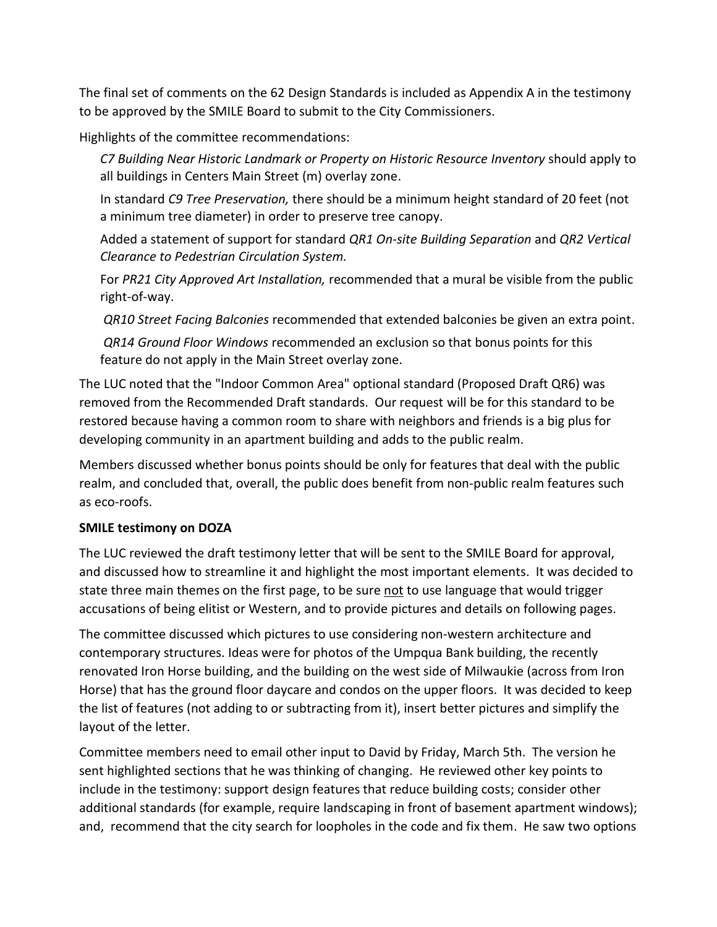The final set of comments on the 62 Design Standards is included as Appendix A in the testimony to be approved by the SMILE Board to submit to the City Commissioners.

Highlights of the committee recommendations:

*C7 Building Near Historic Landmark or Property on Historic Resource Inventory* should apply to all buildings in Centers Main Street (m) overlay zone.

In standard *C9 Tree Preservation,* there should be a minimum height standard of 20 feet (not a minimum tree diameter) in order to preserve tree canopy.

Added a statement of support for standard *QR1 On-site Building Separation* and *QR2 Vertical Clearance to Pedestrian Circulation System.*

For *PR21 City Approved Art Installation,* recommended that a mural be visible from the public right-of-way.

*QR10 Street Facing Balconies* recommended that extended balconies be given an extra point.

*QR14 Ground Floor Windows* recommended an exclusion so that bonus points for this feature do not apply in the Main Street overlay zone.

The LUC noted that the "Indoor Common Area" optional standard (Proposed Draft QR6) was removed from the Recommended Draft standards. Our request will be for this standard to be restored because having a common room to share with neighbors and friends is a big plus for developing community in an apartment building and adds to the public realm.

Members discussed whether bonus points should be only for features that deal with the public realm, and concluded that, overall, the public does benefit from non-public realm features such as eco-roofs.

## **SMILE testimony on DOZA**

The LUC reviewed the draft testimony letter that will be sent to the SMILE Board for approval, and discussed how to streamline it and highlight the most important elements. It was decided to state three main themes on the first page, to be sure not to use language that would trigger accusations of being elitist or Western, and to provide pictures and details on following pages.

The committee discussed which pictures to use considering non-western architecture and contemporary structures. Ideas were for photos of the Umpqua Bank building, the recently renovated Iron Horse building, and the building on the west side of Milwaukie (across from Iron Horse) that has the ground floor daycare and condos on the upper floors. It was decided to keep the list of features (not adding to or subtracting from it), insert better pictures and simplify the layout of the letter.

Committee members need to email other input to David by Friday, March 5th. The version he sent highlighted sections that he was thinking of changing. He reviewed other key points to include in the testimony: support design features that reduce building costs; consider other additional standards (for example, require landscaping in front of basement apartment windows); and, recommend that the city search for loopholes in the code and fix them. He saw two options